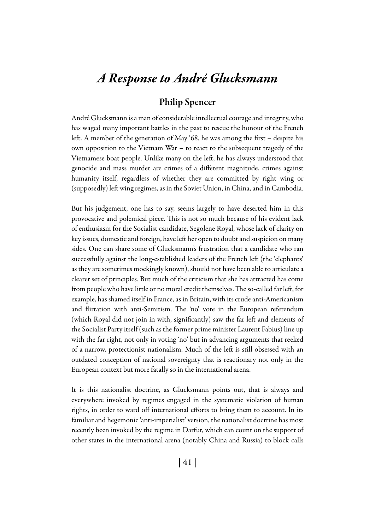## *A Response to André Glucksmann*

## Philip Spencer

André Glucksmann is a man of considerable intellectual courage and integrity, who has waged many important battles in the past to rescue the honour of the French left. A member of the generation of May '68, he was among the first – despite his own opposition to the Vietnam War – to react to the subsequent tragedy of the Vietnamese boat people. Unlike many on the left, he has always understood that genocide and mass murder are crimes of a different magnitude, crimes against humanity itself, regardless of whether they are committed by right wing or (supposedly) left wing regimes, as in the Soviet Union, in China, and in Cambodia.

But his judgement, one has to say, seems largely to have deserted him in this provocative and polemical piece. This is not so much because of his evident lack of enthusiasm for the Socialist candidate, Segolene Royal, whose lack of clarity on key issues, domestic and foreign, have left her open to doubt and suspicion on many sides. One can share some of Glucksmann's frustration that a candidate who ran successfully against the long-established leaders of the French left (the 'elephants' as they are sometimes mockingly known), should not have been able to articulate a clearer set of principles. But much of the criticism that she has attracted has come from people who have little or no moral credit themselves. The so-called far left, for example, has shamed itself in France, as in Britain, with its crude anti-Americanism and flirtation with anti-Semitism. The 'no' vote in the European referendum (which Royal did not join in with, significantly) saw the far left and elements of the Socialist Party itself (such as the former prime minister Laurent Fabius) line up with the far right, not only in voting 'no' but in advancing arguments that reeked of a narrow, protectionist nationalism. Much of the left is still obsessed with an outdated conception of national sovereignty that is reactionary not only in the European context but more fatally so in the international arena.

It is this nationalist doctrine, as Glucksmann points out, that is always and everywhere invoked by regimes engaged in the systematic violation of human rights, in order to ward off international efforts to bring them to account. In its familiar and hegemonic 'anti-imperialist' version, the nationalist doctrine has most recently been invoked by the regime in Darfur, which can count on the support of other states in the international arena (notably China and Russia) to block calls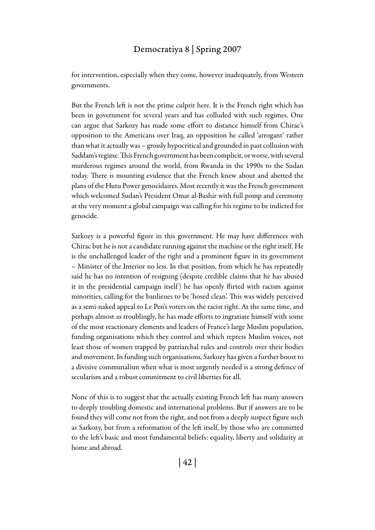## Democratiya 8 | Spring 2007

for intervention, especially when they come, however inadequately, from Western governments.

But the French left is not the prime culprit here. It is the French right which has been in government for several years and has colluded with such regimes. One can argue that Sarkozy has made some effort to distance himself from Chirac's opposition to the Americans over Iraq, an opposition he called 'arrogant' rather than what it actually was – grossly hypocritical and grounded in past collusion with Saddam's regime. This French government has been complicit, or worse, with several murderous regimes around the world, from Rwanda in the 1990s to the Sudan today. There is mounting evidence that the French knew about and abetted the plans of the Hutu Power genocidaires. Most recently it was the French government which welcomed Sudan's President Omar al-Bashir with full pomp and ceremony at the very moment a global campaign was calling for his regime to be indicted for genocide.

Sarkozy is a powerful figure in this government. He may have differences with Chirac but he is not a candidate running against the machine or the right itself. He is the unchallenged leader of the right and a prominent figure in its government – Minister of the Interior no less. In that position, from which he has repeatedly said he has no intention of resigning (despite credible claims that he has abused it in the presidential campaign itself ) he has openly flirted with racism against minorities, calling for the banlieues to be 'hosed clean'. This was widely perceived as a semi-naked appeal to Le Pen's voters on the racist right. At the same time, and perhaps almost as troublingly, he has made efforts to ingratiate himself with some of the most reactionary elements and leaders of France's large Muslim population, funding organisations which they control and which repress Muslim voices, not least those of women trapped by patriarchal rules and controls over their bodies and movement. In funding such organisations, Sarkozy has given a further boost to a divisive communalism when what is most urgently needed is a strong defence of secularism and a robust commitment to civil liberties for all.

None of this is to suggest that the actually existing French left has many answers to deeply troubling domestic and international problems. But if answers are to be found they will come not from the right, and not from a deeply suspect figure such as Sarkozy, but from a reformation of the left itself, by those who are committed to the left's basic and most fundamental beliefs: equality, liberty and solidarity at home and abroad.

| 42 |